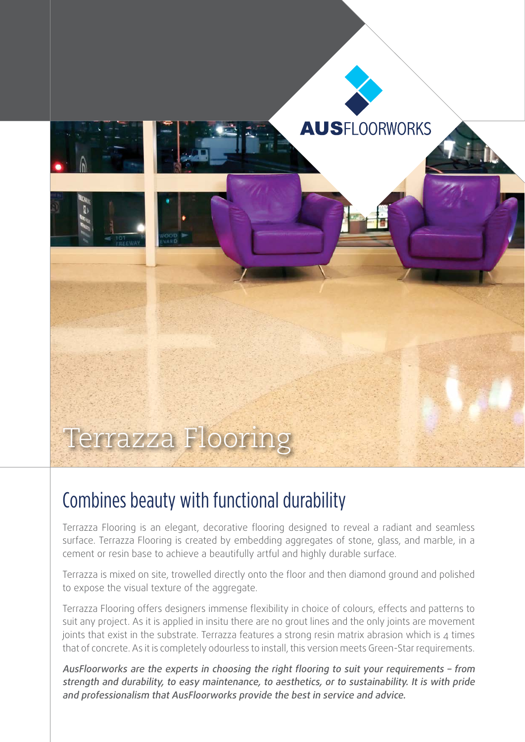

## Combines beauty with functional durability

Terrazza Flooring is an elegant, decorative flooring designed to reveal a radiant and seamless surface. Terrazza Flooring is created by embedding aggregates of stone, glass, and marble, in a cement or resin base to achieve a beautifully artful and highly durable surface.

Terrazza is mixed on site, trowelled directly onto the floor and then diamond ground and polished to expose the visual texture of the aggregate.

Terrazza Flooring offers designers immense flexibility in choice of colours, effects and patterns to suit any project. As it is applied in insitu there are no grout lines and the only joints are movement joints that exist in the substrate. Terrazza features a strong resin matrix abrasion which is  $\Delta$  times that of concrete. As it is completely odourless to install, this version meets Green-Star requirements.

AusFloorworks are the experts in choosing the right flooring to suit your requirements – from strength and durability, to easy maintenance, to aesthetics, or to sustainability. It is with pride and professionalism that AusFloorworks provide the best in service and advice.